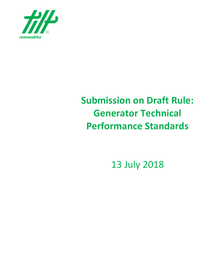

# **Submission on Draft Rule: Generator Technical Performance Standards**

13 July 2018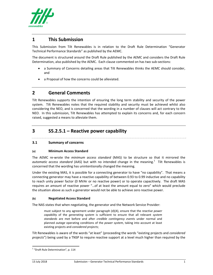

## **1 This Submission**

This Submission from Tilt Renewables is in relation to the Draft Rule Determination "Generator Technical Performance Standards" as published by the AEMC.

The document is structured around the Draft Rule published by the AEMC and considers the Draft Rule Determination, also published by the AEMC. Each clause commented on has two sub-sections:

- a Summary of Concerns detailing areas that Tilt Renewables thinks the AEMC should consider, and
- a Proposal of how the concerns could be alleviated.

## **2 General Comments**

Tilt Renewables supports the intention of ensuring the long term stability and security of the power system. Tilt Renewables notes that the required stability and security must be achieved whilst also considering the NEO, and is concerned that the wording in a number of clauses will act contrary to the NEO. In this submission, Tilt Renewables has attempted to explain its concerns and, for each concern raised, suggested a means to alleviate them.

## **3 S5.2.5.1 – Reactive power capability**

## **3.1 Summary of concerns**

## **(a) Minimum Access Standard**

The AEMC re‐wrote the *minimum access standard* (MAS) to be structure so that it mirrored the automatic access standard (AAS) but with no intended change in the meaning.<sup>1</sup> Tilt Renewables is concerned that the wording has unintentionally changed the meaning.

Under the existing MAS, it is possible for a connecting generator to have "no capability". That means a connecting generator may have a reactive capability of between 0.93 to 0.99 inductive and no capability to reach unity power factor (0 MVAr or no reactive power) or to operate capacitively. The draft MAS requires an amount of reactive power "…of at least the amount equal to zero" which would preclude the situation above as such a generator would not be able to achieve zero reactive power.

## **(b) Negotiated Access Standard**

The NAS states that when negotiating, the generator and the Network Service Provider:

must subject to any agreement under paragraph (d)(4), ensure that the *reactive power capability* of the *generating system* is sufficient to ensure that all relevant *system standards* are met before and after *credible contingency events* under normal and planned *outage* operating conditions of the *power system*, taking into account at least existing projects and *considered projects*;

Tilt Renewables is aware of the words "at least" (proceeding the words "existing projects and *considered projects*") being used by a TNSP to require reactive support at a level much higher than required by the

 <sup>1</sup> "Draft Rule Determination", p. 114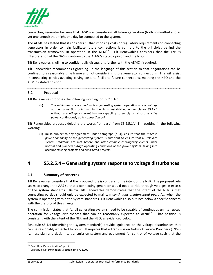

connecting generator because that TNSP was considering all future generation (both committed and as yet unplanned) that might one day be connected to the system.

The AEMC has stated that it considers "…that imposing costs or regulatory requirements on connecting generators in order to help facilitate future connections is contrary to the principles behind the transmission framework in operation in the NEM"<sup>2</sup>. Tilt Renewables considers that the TNSP's interpretation of the NAS is contrary to the AEMC's stated opinion and the NEO.

Tilt Renewables is willing to confidentially discuss this further with the AEMC if required.

Tilt Renewables recommends tightening up the language of this section so that negotiations can be confined to a reasonable time frame and not considering future generator connections. This will assist in connecting parties avoiding paying costs to facilitate future connections, meeting the NEO and the AEMC's stated position.

#### **3.2 Proposal**

Tilt Renewables proposes the following wording for S5.2.5.1(b):

(b) The *minimum access standard* is a *generating system* operating at any *voltage* at the *connection point* within the limits established under clause S5.1a.4 without a *contingency event* has no capability to supply or absorb *reactive power* continuously at its *connection point*.

Tilt Renewables proposes deleting the words "at least" from  $S5.2.5.1(c)(1)$ , resulting in the following wording:

(1) must, subject to any agreement under paragraph (d)(4), ensure that the *reactive power capability* of the *generating system* is sufficient to ensure that all relevant *system standards* are met before and after *credible contingency events* under normal and planned *outage* operating conditions of the *power system*, taking into account existing projects and *considered projects*.

# **4 S5.2.5.4 – Generating system response to voltage disturbances**

## **4.1 Summary of concerns**

Tilt Renewables considers that the proposed rule is contrary to the intent of the NER. The proposed rule seeks to change the AAS so that a connecting generator would need to ride through voltages in excess of the system standards. Below, Tilt Renewables demonstrates that the intent of the NER is that connecting parties should only be expected to maintain *continuous uninterrupted operation* when the system is operating within the system standards. Tilt Renewables also outlines below a specific concern with the drafting of this change.

The commission states that "… all generating systems need to be capable of continuous uninterrupted operation for voltage disturbances that can be reasonably expected to occur"<sup>3</sup>. That position is consistent with the intent of the NER and the NEO, as evidenced below.

Schedule S5.1.4 (describing the system standards) provides guidance on the voltage disturbances that can be reasonably expected to occur. It requires that a Transmission Network Service Providers (TNSP) "…must plan and design its transmission system and equipment for control of voltage such that the

<sup>&</sup>lt;sup>2</sup> "Draft Rule Determination", p. xiii<br><sup>3</sup> "Draft Rule Determination", section 10.4.7, p.209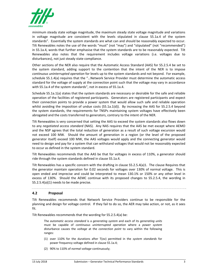

minimum steady state voltage magnitude, the maximum steady state voltage magnitude and variations in voltage magnitude are consistent with the levels stipulated in clause S5.1a.4 of the system standards". Essentially the system standards are what can and should be reasonably expected to occur. Tilt Renewables notes the use of the words "must" (not "may") and "stipulated" (not "recommended") in S5.1a.4, words that further emphasise that the system standards are to be reasonably expected. Tilt Renewables also notes that the requirement includes voltage variations (i.e. voltages due to disturbances), not just steady state compliance.

Other sections of the NER also require that the Automatic Access Standard (AAS) for S5.2.5.4 be set to the system standard, adding support to the contention that the intent of the NER is to impose *continuous uninterrupted operation* for levels up to the system standards and not beyond. For example, schedule S5.1.4(a) requires that the "…Network Service Provider must determine the automatic access standard for the voltage of supply at the connection point such that the voltage may vary in accordance with S5.1a.4 of the system standards", not in excess of S5.1a.4.

Schedule S5.1a.1(a) states that the system standards are necessary or desirable for the safe and reliable operation of the facilities of registered participants. Generators are registered participants and expect their connection points to provide a power system that would allow such safe and reliable operation whilst avoiding the imposition of undue costs (S5.1a.1(d)). By increasing the AAS for S5.2.5.4 beyond the system standards, the requirements for TNSPs maintaining system voltages have effectively been abrogated and the costs transferred to generators, contrary to the intent of the NER.

Tilt Renewables is very concerned that setting the AAS to exceed the system standards also flows down to any *negotiated access standard* (NAS). Any NAS requires that the AAS be met except where AEMO and the NSP agrees that the total reduction of generation as a result of such voltage excursion would not exceed 100 MW. Should the amount of generation in a region (or the level of the proposed generator itself) exceed 100 MW, the AAS voltages would apply and the connecting generator would need to design and pay for a system that can withstand voltages that would not be reasonably expected to occur as defined in the system standard.

Tilt Renewables recommends that the AAS be that for voltages in excess of 110%, a generator should ride through the system standards defined in clause S5.1a.4.

Tilt Renewables has a specific concern with the drafting in clause S5.2.5.4(a)1. The clause Requires that the generator maintain operation for 0.02 seconds for voltages over 130% of normal voltage. This is open ended and imprecise and could be interpreted to mean 130.1% or 150% or any other level in excess of 130%. Should the AEMC continue with its proposed changes to S5.2.5.4, the wording in S5.2.5.4(a)(1) needs to be made precise.

## **4.2 Proposal**

Tilt Renewables recommends that Network Service Providers continue to be responsible for the planning and design for voltage control. If they fail to do so, the AER may take action, or not, as it sees fit.

Tilt Renewables recommends that the wording for S5.2.5.4(a) be:

The *automatic access standard* is a *generating system* and each of its *generating units* must be capable of *continuous uninterrupted operation* where a *power system* disturbance causes the *voltage* at the *connection point* to vary within the following ranges:

- (1) over 110% for the durations after T(ov) permitted in the *system standards* for power frequency voltage defined in clause S5.1a.4;
- (2) 90% to 110% of *normal voltage* continuously;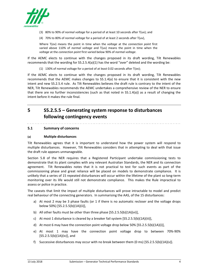

- (3) 80% to 90% of *normal voltage* for a period of at least 10 seconds after T(uv); and
- (4) 70% to 80% of *normal voltage* for a period of at least 2 seconds after T(uv),

Where T(ov) means the point in time when the *voltage* at the *connection point* first varied above 110% of *normal voltage* and T(uv) means the point in time when the *voltage* at the *connection point* first varied below 90% of *normal voltage*.

If the AEMC elects to continue with the changes proposed in its draft wording, Tilt Renewables recommends that the wording for S5.2.5.4(a)(1) has the word "over" deleted and the wording be:

(1) 130% of normal voltage for a period of at least 0.02 seconds after T(ov);

If the AEMC elects to continue with the changes proposed in its draft wording, Tilt Renewables recommends that the AEMC makes changes to S5.1.4(a) to ensure that it is consistent with the new intent and new S5.2.5.4 rule. As Tilt Renewables believes the draft rule is contrary to the intent of the NER, Tilt Renewables recommends the AEMC undertakes a comprehensive review of the NER to ensure that there are no further inconsistencies (such as that noted in S5.1.4(a)) as a result of changing the intent before it makes the rule final.

# **5 S5.2.5.5 – Generating system response to disturbances following contingency events**

#### **5.1 Summary of concerns**

#### **(a) Multiple disturbances**

Tilt Renewables agrees that it is important to understand how the power system will respond to multiple disturbances. However, Tilt Renewables considers that in attempting to deal with that issue the draft rule appears unmanageable.

Section 5.8 of the NER requires that a Registered Participant undertake commissioning tests to demonstrate that its plant complies with any relevant Australian Standards, the NER and its connection agreement. Tilt Renewables notes that it is not practical to test for such events as part of the commissioning phase and great reliance will be placed on models to demonstrate compliance. It is unlikely that a series of 15 repeated disturbances will occur within the lifetime of the plant so long‐term monitoring over its life would still not demonstrate compliance. This makes the Rule impractical to assess or police in practice.

The caveats that limit the impact of multiple disturbances will prove intractable to model and predict real behaviour of the connecting generators. In summarising the AAS, of the 15 disturbances:

- a) At most 2 may be 3 phase faults (or 1 if there is no automatic recloser and the voltage drops below 50%) [S5.2.5.5(b)(1A)(ii)],
- b) All other faults must be other than three phase [S5.2.5.5(b)(1A)(vi)],
- c) At most 1 disturbance is cleared by a breaker fail system [S5.2.5.5(b)(1A)(iii)],
- d) At most 6 may have the connection point voltage drop below 50% [S5.2.5.5(b)(1A)(i)],
- e) At most 1 may have the connection point voltage drop to between 70%‐90% [S5.2.5.5(b)(1A)(iv)], and
- f) Successive disturbances may occur with no break between them (0 ms)  $[55.2.5.5(b)(1A)(v)]$ .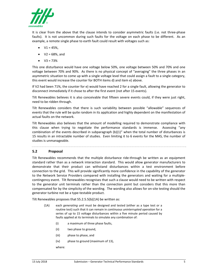

It is clear from the above that the clause intends to consider asymmetric faults (i.e. not three-phase faults). It is not uncommon during such faults for the voltage on each phase to be different. As an example, a remote single phase to earth fault could result with voltages such as:

- $V1 = 45\%,$
- $V2 = 68%$ , and
- $\bullet$  V3 = 73%

This one disturbance would have one voltage below 50%, one voltage between 50% and 70% and one voltage between 70% and 90%. As there is no physical concept of "averaging" the three phases in an asymmetric situation to come up with a single voltage level that could assign a fault to a single category, this event would increase the counter for BOTH items d) and item e) above.

If V2 had been 71%, the counter for e) would have reached 2 for a single fault, allowing the generator to disconnect immediately if it chose to after the first event (not after 15 events).

Tilt Renewables believes it is also conceivable that fifteen severe events could, if they were just right, need to be ridden through.

Tilt Renewables considers that there is such variability between possible "allowable" sequences of events that the rule will be quite random in its application and highly dependent on the manifestation of actual faults on the network.

Tilt Renewables also believes that the amount of modelling required to demonstrate compliance with this clause when trying to negotiate the performance standards is immense. Assessing "any combination of the events described in subparagraph (b)(1)" when the total number of disturbances is 15 results in an intractable number of studies. Even limiting it to 6 events for the MAS, the number of studies is unmanageable.

## **5.2 Proposal**

Tilt Renewables recommends that the multiple disturbance ride‐through be written as an equipment standard rather than as a network interaction standard. This would allow generator manufacturers to demonstrate that their product can withstand disturbances within a test environment before connection to the grid. This will provide significantly more confidence in the capability of the generator to the Network Service Providers compared with installing the generators and waiting for a multiplecontingency event. Tilt Renewables recognises that such a clause would need to be written with respect to the generator unit terminals rather than the connection point but considers that this more than compensated for by the simplicity of the wording. The wording also allows for on‐site testing should the generator turbine not be a type‐testable product.

Tilt Renewables proposes that S5.2.5.5(b)(1A) be written as:

- (1A) each *generating unit* must be designed and tested (either as a type test or a routine test) such that it can remain in *continuous uninterrupted operation* for a series of up to 15 voltage disturbances within a five minute period caused by faults applied at its terminals to simulate any combination of:
	- (i) a maximum of three phase faults,
	- (ii) two phase to ground,
	- (iii) phase to phase, and
	- (iv) phase to ground (maximum of 13),

where: